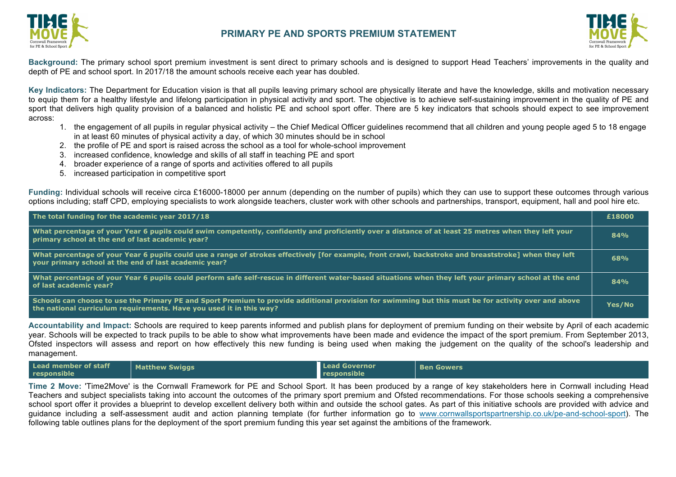



**Background:** The primary school sport premium investment is sent direct to primary schools and is designed to support Head Teachers' improvements in the quality and depth of PE and school sport. In 2017/18 the amount schools receive each year has doubled.

**Key Indicators:** The Department for Education vision is that all pupils leaving primary school are physically literate and have the knowledge, skills and motivation necessary to equip them for a healthy lifestyle and lifelong participation in physical activity and sport. The objective is to achieve self-sustaining improvement in the quality of PE and sport that delivers high quality provision of a balanced and holistic PE and school sport offer. There are 5 key indicators that schools should expect to see improvement across:

- 1. the engagement of all pupils in regular physical activity the Chief Medical Officer guidelines recommend that all children and young people aged 5 to 18 engage in at least 60 minutes of physical activity a day, of which 30 minutes should be in school
- 2. the profile of PE and sport is raised across the school as a tool for whole-school improvement
- 3. increased confidence, knowledge and skills of all staff in teaching PE and sport
- 4. broader experience of a range of sports and activities offered to all pupils
- 5. increased participation in competitive sport

**Funding:** Individual schools will receive circa £16000-18000 per annum (depending on the number of pupils) which they can use to support these outcomes through various options including; staff CPD, employing specialists to work alongside teachers, cluster work with other schools and partnerships, transport, equipment, hall and pool hire etc.

| The total funding for the academic year 2017/18                                                                                                                                                                             | £18000     |
|-----------------------------------------------------------------------------------------------------------------------------------------------------------------------------------------------------------------------------|------------|
| What percentage of your Year 6 pupils could swim competently, confidently and proficiently over a distance of at least 25 metres when they left your<br>primary school at the end of last academic year?                    | 84%        |
| What percentage of your Year 6 pupils could use a range of strokes effectively [for example, front crawl, backstroke and breaststroke] when they left<br>your primary school at the end of last academic year?              | <b>68%</b> |
| What percentage of your Year 6 pupils could perform safe self-rescue in different water-based situations when they left your primary school at the end<br>of last academic year?                                            | 84%        |
| Schools can choose to use the Primary PE and Sport Premium to provide additional provision for swimming but this must be for activity over and above<br>the national curriculum requirements. Have you used it in this way? | Yes/No     |
|                                                                                                                                                                                                                             |            |

**Accountability and Impact:** Schools are required to keep parents informed and publish plans for deployment of premium funding on their website by April of each academic year. Schools will be expected to track pupils to be able to show what improvements have been made and evidence the impact of the sport premium. From September 2013, Ofsted inspectors will assess and report on how effectively this new funding is being used when making the judgement on the quality of the school's leadership and management.

| Lead member of staff<br><b>Matthew Swiggs</b><br>responsible | <b>Lead Governor</b><br>responsible | <b>Ben Gowers</b> |
|--------------------------------------------------------------|-------------------------------------|-------------------|
|--------------------------------------------------------------|-------------------------------------|-------------------|

**Time 2 Move:** 'Time2Move' is the Cornwall Framework for PE and School Sport. It has been produced by a range of key stakeholders here in Cornwall including Head Teachers and subject specialists taking into account the outcomes of the primary sport premium and Ofsted recommendations. For those schools seeking a comprehensive school sport offer it provides a blueprint to develop excellent delivery both within and outside the school gates. As part of this initiative schools are provided with advice and guidance including a self-assessment audit and action planning template (for further information go to www.cornwallsportspartnership.co.uk/pe-and-school-sport). The following table outlines plans for the deployment of the sport premium funding this year set against the ambitions of the framework.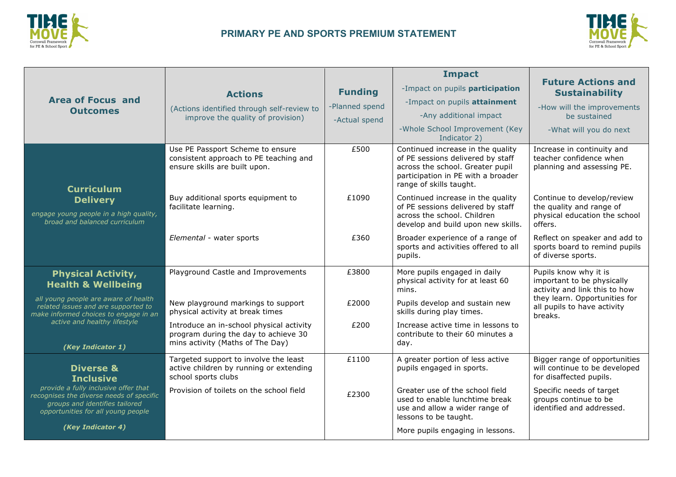



|                                                                                                                                                          |                                                                                                                      |                | <b>Impact</b>                                                                                                                                                               |                                                                                                    |
|----------------------------------------------------------------------------------------------------------------------------------------------------------|----------------------------------------------------------------------------------------------------------------------|----------------|-----------------------------------------------------------------------------------------------------------------------------------------------------------------------------|----------------------------------------------------------------------------------------------------|
|                                                                                                                                                          | <b>Actions</b>                                                                                                       | <b>Funding</b> | -Impact on pupils participation                                                                                                                                             | <b>Future Actions and</b><br><b>Sustainability</b>                                                 |
| <b>Area of Focus and</b><br><b>Outcomes</b>                                                                                                              | (Actions identified through self-review to<br>improve the quality of provision)                                      | -Planned spend | -Impact on pupils attainment                                                                                                                                                | -How will the improvements                                                                         |
|                                                                                                                                                          |                                                                                                                      | -Actual spend  | -Any additional impact                                                                                                                                                      | be sustained                                                                                       |
|                                                                                                                                                          |                                                                                                                      |                | -Whole School Improvement (Key<br>Indicator 2)                                                                                                                              | -What will you do next                                                                             |
| <b>Curriculum</b>                                                                                                                                        | Use PE Passport Scheme to ensure<br>consistent approach to PE teaching and<br>ensure skills are built upon.          | £500           | Continued increase in the quality<br>of PE sessions delivered by staff<br>across the school. Greater pupil<br>participation in PE with a broader<br>range of skills taught. | Increase in continuity and<br>teacher confidence when<br>planning and assessing PE.                |
| <b>Delivery</b><br>engage young people in a high quality,<br>broad and balanced curriculum                                                               | Buy additional sports equipment to<br>facilitate learning.                                                           | £1090          | Continued increase in the quality<br>of PE sessions delivered by staff<br>across the school. Children<br>develop and build upon new skills.                                 | Continue to develop/review<br>the quality and range of<br>physical education the school<br>offers. |
|                                                                                                                                                          | Elemental - water sports                                                                                             | £360           | Broader experience of a range of<br>sports and activities offered to all<br>pupils.                                                                                         | Reflect on speaker and add to<br>sports board to remind pupils<br>of diverse sports.               |
| <b>Physical Activity,</b><br><b>Health &amp; Wellbeing</b>                                                                                               | Playground Castle and Improvements                                                                                   | £3800          | More pupils engaged in daily<br>physical activity for at least 60<br>mins.                                                                                                  | Pupils know why it is<br>important to be physically<br>activity and link this to how               |
| all young people are aware of health<br>related issues and are supported to<br>make informed choices to engage in an                                     | New playground markings to support<br>physical activity at break times                                               | £2000          | Pupils develop and sustain new<br>skills during play times.                                                                                                                 | they learn. Opportunities for<br>all pupils to have activity<br>breaks.                            |
| active and healthy lifestyle<br>(Key Indicator 1)                                                                                                        | Introduce an in-school physical activity<br>program during the day to achieve 30<br>mins activity (Maths of The Day) | £200           | Increase active time in lessons to<br>contribute to their 60 minutes a<br>day.                                                                                              |                                                                                                    |
| <b>Diverse &amp;</b><br><b>Inclusive</b>                                                                                                                 | Targeted support to involve the least<br>active children by running or extending<br>school sports clubs              | £1100          | A greater portion of less active<br>pupils engaged in sports.                                                                                                               | Bigger range of opportunities<br>will continue to be developed<br>for disaffected pupils.          |
| provide a fully inclusive offer that<br>recognises the diverse needs of specific<br>groups and identifies tailored<br>opportunities for all young people | Provision of toilets on the school field                                                                             | £2300          | Greater use of the school field<br>used to enable lunchtime break<br>use and allow a wider range of<br>lessons to be taught.                                                | Specific needs of target<br>groups continue to be<br>identified and addressed.                     |
| (Key Indicator 4)                                                                                                                                        |                                                                                                                      |                | More pupils engaging in lessons.                                                                                                                                            |                                                                                                    |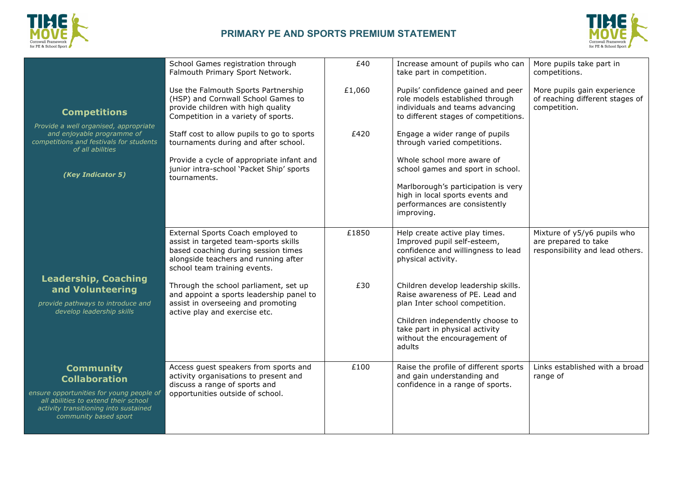



| <b>Competitions</b>                                                                                                                                                                            | School Games registration through<br>Falmouth Primary Sport Network.<br>Use the Falmouth Sports Partnership<br>(HSP) and Cornwall School Games to<br>provide children with high quality<br>Competition in a variety of sports.                                                                                                                        | £40<br>£1,060 | Increase amount of pupils who can<br>take part in competition.<br>Pupils' confidence gained and peer<br>role models established through<br>individuals and teams advancing<br>to different stages of competitions.                                                                                                                                    | More pupils take part in<br>competitions.<br>More pupils gain experience<br>of reaching different stages of<br>competition. |
|------------------------------------------------------------------------------------------------------------------------------------------------------------------------------------------------|-------------------------------------------------------------------------------------------------------------------------------------------------------------------------------------------------------------------------------------------------------------------------------------------------------------------------------------------------------|---------------|-------------------------------------------------------------------------------------------------------------------------------------------------------------------------------------------------------------------------------------------------------------------------------------------------------------------------------------------------------|-----------------------------------------------------------------------------------------------------------------------------|
| Provide a well organised, appropriate<br>and enjoyable programme of<br>competitions and festivals for students<br>of all abilities<br>(Key Indicator 5)                                        | Staff cost to allow pupils to go to sports<br>tournaments during and after school.<br>Provide a cycle of appropriate infant and<br>junior intra-school 'Packet Ship' sports<br>tournaments.                                                                                                                                                           | £420          | Engage a wider range of pupils<br>through varied competitions.<br>Whole school more aware of<br>school games and sport in school.<br>Marlborough's participation is very<br>high in local sports events and<br>performances are consistently<br>improving.                                                                                            |                                                                                                                             |
| <b>Leadership, Coaching</b><br>and Volunteering<br>provide pathways to introduce and<br>develop leadership skills                                                                              | External Sports Coach employed to<br>assist in targeted team-sports skills<br>based coaching during session times<br>alongside teachers and running after<br>school team training events.<br>Through the school parliament, set up<br>and appoint a sports leadership panel to<br>assist in overseeing and promoting<br>active play and exercise etc. | £1850<br>£30  | Help create active play times.<br>Improved pupil self-esteem,<br>confidence and willingness to lead<br>physical activity.<br>Children develop leadership skills.<br>Raise awareness of PE. Lead and<br>plan Inter school competition.<br>Children independently choose to<br>take part in physical activity<br>without the encouragement of<br>adults | Mixture of y5/y6 pupils who<br>are prepared to take<br>responsibility and lead others.                                      |
| <b>Community</b><br><b>Collaboration</b><br>ensure opportunities for young people of<br>all abilities to extend their school<br>activity transitioning into sustained<br>community based sport | Access guest speakers from sports and<br>activity organisations to present and<br>discuss a range of sports and<br>opportunities outside of school.                                                                                                                                                                                                   | £100          | Raise the profile of different sports<br>and gain understanding and<br>confidence in a range of sports.                                                                                                                                                                                                                                               | Links established with a broad<br>range of                                                                                  |